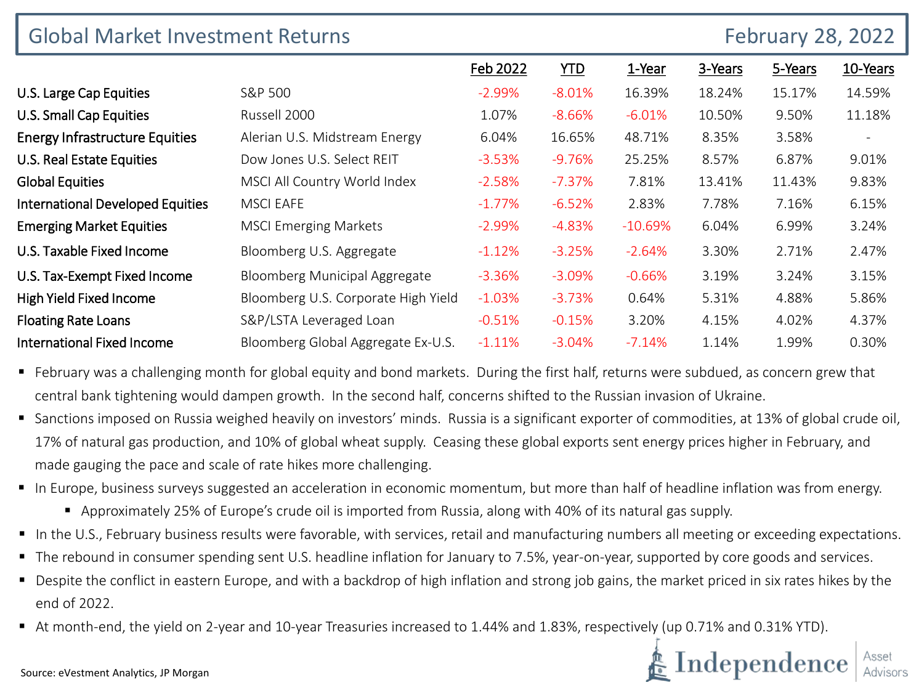| <b>Global Market Investment Returns</b> |                                     |           |            |           |         | <b>February 28, 2022</b> |          |
|-----------------------------------------|-------------------------------------|-----------|------------|-----------|---------|--------------------------|----------|
|                                         |                                     | Feb 2022  | <u>YTD</u> | 1-Year    | 3-Years | 5-Years                  | 10-Years |
| U.S. Large Cap Equities                 | S&P 500                             | $-2.99\%$ | $-8.01%$   | 16.39%    | 18.24%  | 15.17%                   | 14.59%   |
| U.S. Small Cap Equities                 | Russell 2000                        | 1.07%     | $-8.66\%$  | $-6.01%$  | 10.50%  | 9.50%                    | 11.18%   |
| <b>Energy Infrastructure Equities</b>   | Alerian U.S. Midstream Energy       | 6.04%     | 16.65%     | 48.71%    | 8.35%   | 3.58%                    |          |
| U.S. Real Estate Equities               | Dow Jones U.S. Select REIT          | $-3.53%$  | $-9.76%$   | 25.25%    | 8.57%   | 6.87%                    | 9.01%    |
| <b>Global Equities</b>                  | MSCI All Country World Index        | $-2.58%$  | $-7.37\%$  | 7.81%     | 13.41%  | 11.43%                   | 9.83%    |
| <b>International Developed Equities</b> | <b>MSCI EAFE</b>                    | $-1.77\%$ | $-6.52%$   | 2.83%     | 7.78%   | 7.16%                    | 6.15%    |
| <b>Emerging Market Equities</b>         | <b>MSCI Emerging Markets</b>        | $-2.99%$  | $-4.83%$   | $-10.69%$ | 6.04%   | 6.99%                    | 3.24%    |
| U.S. Taxable Fixed Income               | Bloomberg U.S. Aggregate            | $-1.12%$  | $-3.25%$   | $-2.64%$  | 3.30%   | 2.71%                    | 2.47%    |
| U.S. Tax-Exempt Fixed Income            | Bloomberg Municipal Aggregate       | $-3.36%$  | $-3.09\%$  | $-0.66%$  | 3.19%   | 3.24%                    | 3.15%    |
| High Yield Fixed Income                 | Bloomberg U.S. Corporate High Yield | $-1.03\%$ | $-3.73%$   | 0.64%     | 5.31%   | 4.88%                    | 5.86%    |
| <b>Floating Rate Loans</b>              | S&P/LSTA Leveraged Loan             | $-0.51%$  | $-0.15%$   | 3.20%     | 4.15%   | 4.02%                    | 4.37%    |
| <b>International Fixed Income</b>       | Bloomberg Global Aggregate Ex-U.S.  | $-1.11%$  | $-3.04%$   | $-7.14%$  | 1.14%   | 1.99%                    | 0.30%    |

■ February was a challenging month for global equity and bond markets. During the first half, returns were subdued, as concern grew that central bank tightening would dampen growth. In the second half, concerns shifted to the Russian invasion of Ukraine.

- Sanctions imposed on Russia weighed heavily on investors' minds. Russia is a significant exporter of commodities, at 13% of global crude oil, 17% of natural gas production, and 10% of global wheat supply. Ceasing these global exports sent energy prices higher in February, and made gauging the pace and scale of rate hikes more challenging.
- In Europe, business surveys suggested an acceleration in economic momentum, but more than half of headline inflation was from energy.
	- Approximately 25% of Europe's crude oil is imported from Russia, along with 40% of its natural gas supply.
- In the U.S., February business results were favorable, with services, retail and manufacturing numbers all meeting or exceeding expectations.
- The rebound in consumer spending sent U.S. headline inflation for January to 7.5%, year-on-year, supported by core goods and services.
- Despite the conflict in eastern Europe, and with a backdrop of high inflation and strong job gains, the market priced in six rates hikes by the end of 2022.
- At month-end, the yield on 2-year and 10-year Treasuries increased to 1.44% and 1.83%, respectively (up 0.71% and 0.31% YTD).

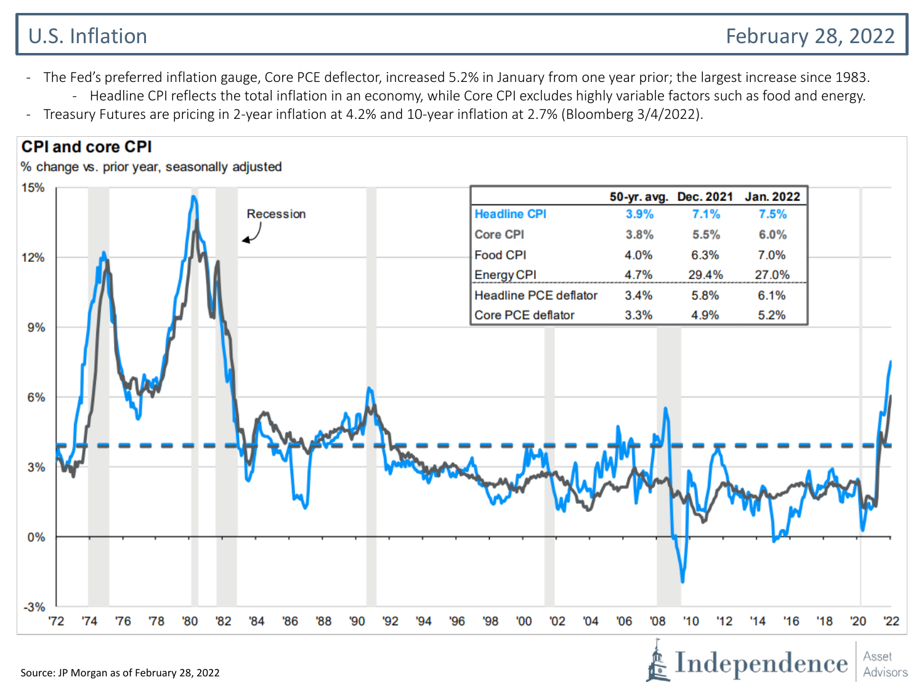- The Fed's preferred inflation gauge, Core PCE deflector, increased 5.2% in January from one year prior; the largest increase since 1983.
	- Headline CPI reflects the total inflation in an economy, while Core CPI excludes highly variable factors such as food and energy.
- Treasury Futures are pricing in 2-year inflation at 4.2% and 10-year inflation at 2.7% (Bloomberg 3/4/2022).

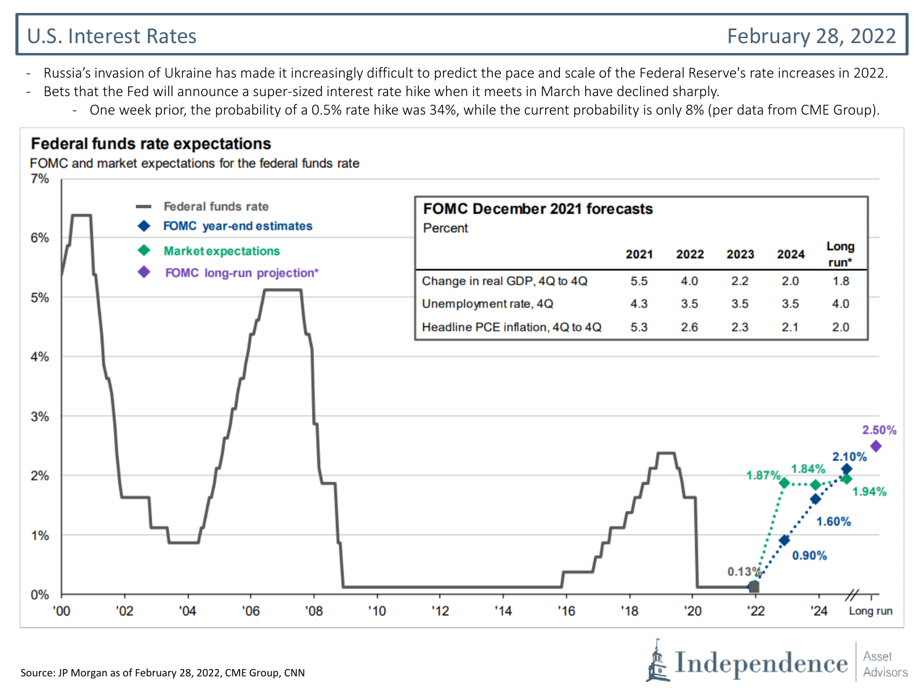# U.S. Interest Rates February 28, 2022

- Russia's invasion of Ukraine has made it increasingly difficult to predict the pace and scale of the Federal Reserve's rate increases in 2022.
- Bets that the Fed will announce a super-sized interest rate hike when it meets in March have declined sharply.
	- One week prior, the probability of a 0.5% rate hike was 34%, while the current probability is only 8% (per data from CME Group).

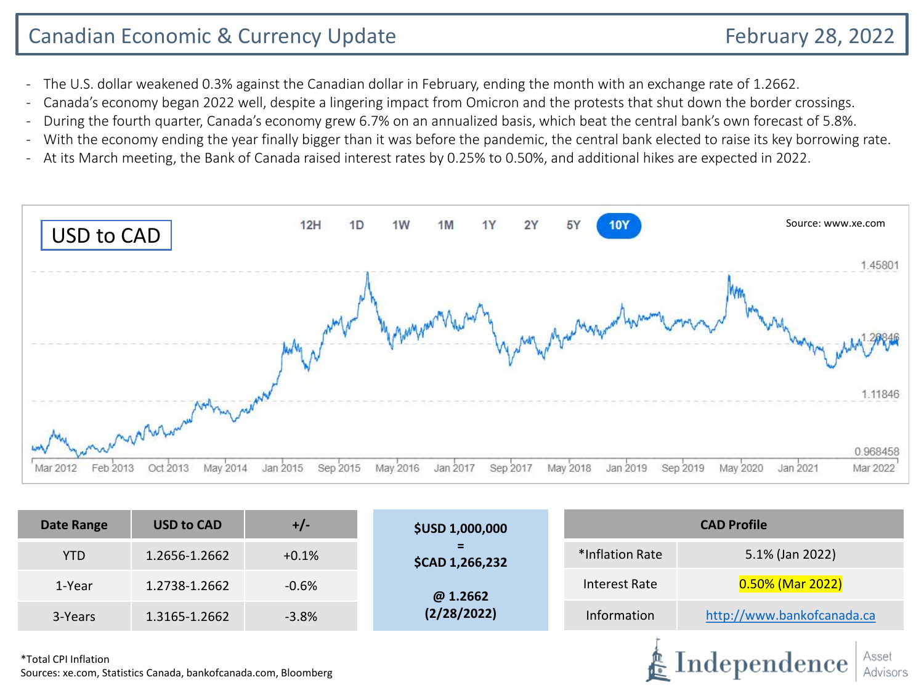Independence

- The U.S. dollar weakened 0.3% against the Canadian dollar in February, ending the month with an exchange rate of 1.2662.
- Canada's economy began 2022 well, despite a lingering impact from Omicron and the protests that shut down the border crossings.
- During the fourth quarter, Canada's economy grew 6.7% on an annualized basis, which beat the central bank's own forecast of 5.8%.
- With the economy ending the year finally bigger than it was before the pandemic, the central bank elected to raise its key borrowing rate.
- At its March meeting, the Bank of Canada raised interest rates by 0.25% to 0.50%, and additional hikes are expected in 2022.



| Date Range | <b>USD to CAD</b> | $+/-$   | <b>\$USD 1,000,000</b> | <b>CAD Profile</b> |                            |  |  |
|------------|-------------------|---------|------------------------|--------------------|----------------------------|--|--|
| <b>YTD</b> | 1.2656-1.2662     | $+0.1%$ | Ξ.<br>\$CAD 1,266,232  | *Inflation Rate    | 5.1% (Jan 2022)            |  |  |
| 1-Year     | 1.2738-1.2662     | $-0.6%$ | @ 1.2662               | Interest Rate      | $0.50\%$ (Mar 2022)        |  |  |
| 3-Years    | 1.3165-1.2662     | $-3.8%$ | (2/28/2022)            | Information        | http://www.bankofcanada.ca |  |  |
|            |                   |         |                        |                    |                            |  |  |

\*Total CPI Inflation Sources: xe.com, Statistics Canada, bankofcanada.com, Bloomberg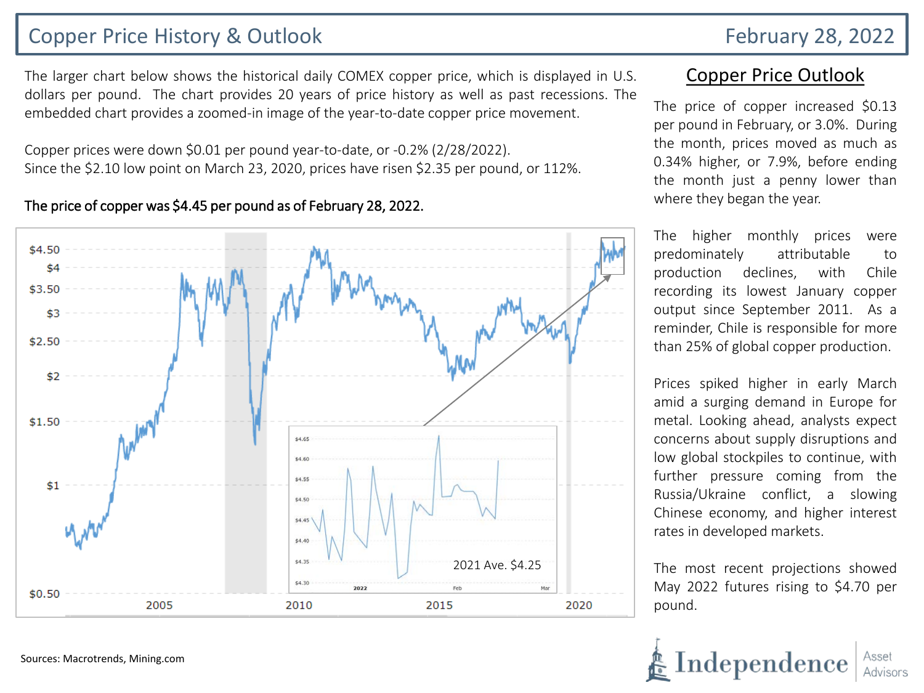## Copper Price History & Outlook February 28, 2022

The larger chart below shows the historical daily COMEX copper price, which is displayed in U.S. dollars per pound. The chart provides 20 years of price history as well as past recessions. The embedded chart provides a zoomed-in image of the year-to-date copper price movement.

Copper prices were down \$0.01 per pound year-to-date, or -0.2% (2/28/2022). Since the \$2.10 low point on March 23, 2020, prices have risen \$2.35 per pound, or 112%.

#### The price of copper was \$4.45 per pound as of February 28, 2022.



## Copper Price Outlook

The price of copper increased \$0.13 per pound in February, or 3.0%. During the month, prices moved as much as 0.34% higher, or 7.9%, before ending the month just a penny lower than where they began the year.

The higher monthly prices were predominately attributable to production declines, with Chile recording its lowest January copper output since September 2011. As a reminder, Chile is responsible for more than 25% of global copper production.

Prices spiked higher in early March amid a surging demand in Europe for metal. Looking ahead, analysts expect concerns about supply disruptions and low global stockpiles to continue, with further pressure coming from the Russia/Ukraine conflict, a slowing Chinese economy, and higher interest rates in developed markets.

The most recent projections showed May 2022 futures rising to \$4.70 per pound.

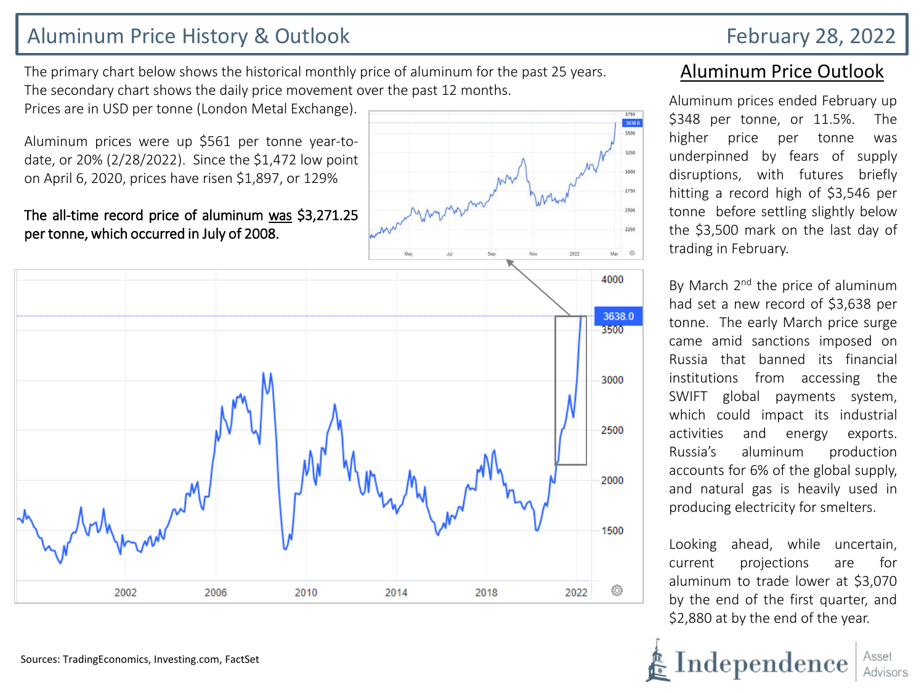# Aluminum Price History & Outlook **February 28, 2022**

The primary chart below shows the historical monthly price of aluminum for the past 25 years. The secondary chart shows the daily price movement over the past 12 months.

Prices are in USD per tonne (London Metal Exchange).

Aluminum prices were up \$561 per tonne year-todate, or 20% (2/28/2022). Since the \$1,472 low point on April 6, 2020, prices have risen \$1,897, or 129%

### The all-time record price of aluminum was \$3,271.25 per tonne, which occurred in July of 2008.



## Aluminum Price Outlook

3638.0 3500

2250

Aluminum prices ended February up \$348 per tonne, or 11.5%. The higher price per tonne was underpinned by fears of supply disruptions, with futures briefly hitting a record high of \$3,546 per tonne before settling slightly below the \$3,500 mark on the last day of trading in February.

By March 2<sup>nd</sup> the price of aluminum had set a new record of \$3,638 per tonne. The early March price surge came amid sanctions imposed on Russia that banned its financial institutions from accessing the SWIFT global payments system, which could impact its industrial activities and energy exports. Russia's aluminum production accounts for 6% of the global supply, and natural gas is heavily used in producing electricity for smelters.

Looking ahead, while uncertain, current projections are for aluminum to trade lower at \$3,070 by the end of the first quarter, and \$2,880 at by the end of the year.

Independence